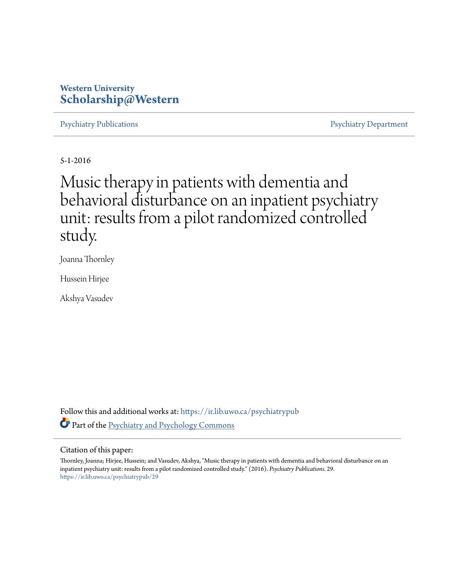## **Western University [Scholarship@Western](https://ir.lib.uwo.ca?utm_source=ir.lib.uwo.ca%2Fpsychiatrypub%2F29&utm_medium=PDF&utm_campaign=PDFCoverPages)**

[Psychiatry Publications](https://ir.lib.uwo.ca/psychiatrypub?utm_source=ir.lib.uwo.ca%2Fpsychiatrypub%2F29&utm_medium=PDF&utm_campaign=PDFCoverPages) **Properties Access** [Psychiatry Department](https://ir.lib.uwo.ca/psychiatry?utm_source=ir.lib.uwo.ca%2Fpsychiatrypub%2F29&utm_medium=PDF&utm_campaign=PDFCoverPages)

5-1-2016

# Music therapy in patients with dementia and behavioral disturbance on an inpatient psychiatry unit: results from a pilot randomized controlled study.

Joanna Thornley

Hussein Hirjee

Akshya Vasudev

Follow this and additional works at: [https://ir.lib.uwo.ca/psychiatrypub](https://ir.lib.uwo.ca/psychiatrypub?utm_source=ir.lib.uwo.ca%2Fpsychiatrypub%2F29&utm_medium=PDF&utm_campaign=PDFCoverPages) Part of the [Psychiatry and Psychology Commons](http://network.bepress.com/hgg/discipline/908?utm_source=ir.lib.uwo.ca%2Fpsychiatrypub%2F29&utm_medium=PDF&utm_campaign=PDFCoverPages)

#### Citation of this paper:

Thornley, Joanna; Hirjee, Hussein; and Vasudev, Akshya, "Music therapy in patients with dementia and behavioral disturbance on an inpatient psychiatry unit: results from a pilot randomized controlled study." (2016). *Psychiatry Publications*. 29. [https://ir.lib.uwo.ca/psychiatrypub/29](https://ir.lib.uwo.ca/psychiatrypub/29?utm_source=ir.lib.uwo.ca%2Fpsychiatrypub%2F29&utm_medium=PDF&utm_campaign=PDFCoverPages)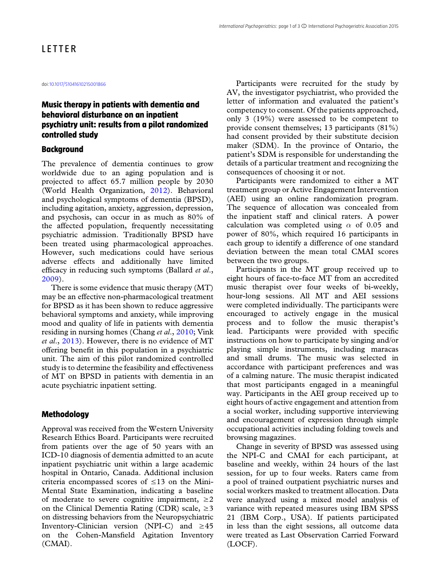#### doi[:10.1017/S1041610215001866](http://dx.doi.org/10.1017/S1041610215001866)

### **Music therapy in patients with dementia and behavioral disturbance on an inpatient psychiatry unit: results from a pilot randomized controlled study**

#### **Background**

The prevalence of dementia continues to grow worldwide due to an aging population and is projected to affect 65.7 million people by 2030 (World Health Organization, [2012\)](#page-3-0). Behavioral and psychological symptoms of dementia (BPSD), including agitation, anxiety, aggression, depression, and psychosis, can occur in as much as 80% of the affected population, frequently necessitating psychiatric admission. Traditionally BPSD have been treated using pharmacological approaches. However, such medications could have serious adverse effects and additionally have limited efficacy in reducing such symptoms (Ballard *et al*., [2009\)](#page-3-0).

There is some evidence that music therapy (MT) may be an effective non-pharmacological treatment for BPSD as it has been shown to reduce aggressive behavioral symptoms and anxiety, while improving mood and quality of life in patients with dementia residing in nursing homes (Chang *et al*., [2010;](#page-3-0) Vink *et al*., [2013\)](#page-3-0). However, there is no evidence of MT offering benefit in this population in a psychiatric unit. The aim of this pilot randomized controlled study is to determine the feasibility and effectiveness of MT on BPSD in patients with dementia in an acute psychiatric inpatient setting.

#### **Methodology**

Approval was received from the Western University Research Ethics Board. Participants were recruited from patients over the age of 50 years with an ICD-10 diagnosis of dementia admitted to an acute inpatient psychiatric unit within a large academic hospital in Ontario, Canada. Additional inclusion criteria encompassed scores of  $\leq$ 13 on the Mini-Mental State Examination, indicating a baseline of moderate to severe cognitive impairment,  $\geq 2$ on the Clinical Dementia Rating (CDR) scale,  $\geq 3$ on distressing behaviors from the Neuropsychiatric Inventory-Clinician version (NPI-C) and  $\geq 45$ on the Cohen-Mansfield Agitation Inventory (CMAI).

Participants were recruited for the study by AV, the investigator psychiatrist, who provided the letter of information and evaluated the patient's competency to consent. Of the patients approached, only 3 (19%) were assessed to be competent to provide consent themselves; 13 participants (81%) had consent provided by their substitute decision maker (SDM). In the province of Ontario, the patient's SDM is responsible for understanding the details of a particular treatment and recognizing the consequences of choosing it or not.

Participants were randomized to either a MT treatment group or Active Engagement Intervention (AEI) using an online randomization program. The sequence of allocation was concealed from the inpatient staff and clinical raters. A power calculation was completed using  $\alpha$  of 0.05 and power of 80%, which required 16 participants in each group to identify a difference of one standard deviation between the mean total CMAI scores between the two groups.

Participants in the MT group received up to eight hours of face-to-face MT from an accredited music therapist over four weeks of bi-weekly, hour-long sessions. All MT and AEI sessions were completed individually. The participants were encouraged to actively engage in the musical process and to follow the music therapist's lead. Participants were provided with specific instructions on how to participate by singing and/or playing simple instruments, including maracas and small drums. The music was selected in accordance with participant preferences and was of a calming nature. The music therapist indicated that most participants engaged in a meaningful way. Participants in the AEI group received up to eight hours of active engagement and attention from a social worker, including supportive interviewing and encouragement of expression through simple occupational activities including folding towels and browsing magazines.

Change in severity of BPSD was assessed using the NPI-C and CMAI for each participant, at baseline and weekly, within 24 hours of the last session, for up to four weeks. Raters came from a pool of trained outpatient psychiatric nurses and social workers masked to treatment allocation. Data were analyzed using a mixed model analysis of variance with repeated measures using IBM SPSS 21 (IBM Corp., USA). If patients participated in less than the eight sessions, all outcome data were treated as Last Observation Carried Forward (LOCF).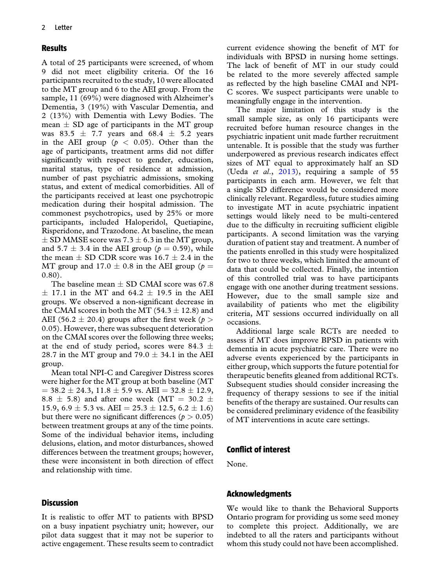#### **Results**

A total of 25 participants were screened, of whom 9 did not meet eligibility criteria. Of the 16 participants recruited to the study, 10 were allocated to the MT group and 6 to the AEI group. From the sample, 11 (69%) were diagnosed with Alzheimer's Dementia, 3 (19%) with Vascular Dementia, and 2 (13%) with Dementia with Lewy Bodies. The mean  $\pm$  SD age of participants in the MT group was 83.5  $\pm$  7.7 years and 68.4  $\pm$  5.2 years in the AEI group ( $p < 0.05$ ). Other than the age of participants, treatment arms did not differ significantly with respect to gender, education, marital status, type of residence at admission, number of past psychiatric admissions, smoking status, and extent of medical comorbidities. All of the participants received at least one psychotropic medication during their hospital admission. The commonest psychotropics, used by 25% or more participants, included Haloperidol, Quetiapine, Risperidone, and Trazodone. At baseline, the mean  $\pm$  SD MMSE score was 7.3  $\pm$  6.3 in the MT group, and  $5.7 \pm 3.4$  in the AEI group ( $p = 0.59$ ), while the mean  $\pm$  SD CDR score was 16.7  $\pm$  2.4 in the MT group and 17.0  $\pm$  0.8 in the AEI group ( $p =$ 0.80).

The baseline mean  $\pm$  SD CMAI score was 67.8  $\pm$  17.1 in the MT and 64.2  $\pm$  19.5 in the AEI groups. We observed a non-significant decrease in the CMAI scores in both the MT (54.3  $\pm$  12.8) and AEI (56.2  $\pm$  20.4) groups after the first week ( $p >$ 0.05). However, there was subsequent deterioration on the CMAI scores over the following three weeks; at the end of study period, scores were 84.3  $\pm$ 28.7 in the MT group and 79.0  $\pm$  34.1 in the AEI group.

Mean total NPI-C and Caregiver Distress scores were higher for the MT group at both baseline (MT  $= 38.2 \pm 24.3$ ,  $11.8 \pm 5.9$  vs. AEI  $= 32.8 \pm 12.9$ , 8.8  $\pm$  5.8) and after one week (MT = 30.2  $\pm$ 15.9,  $6.9 \pm 5.3$  vs. AEI =  $25.3 \pm 12.5$ ,  $6.2 \pm 1.6$ ) but there were no significant differences ( $p > 0.05$ ) between treatment groups at any of the time points. Some of the individual behavior items, including delusions, elation, and motor disturbances, showed differences between the treatment groups; however, these were inconsistent in both direction of effect and relationship with time.

#### **Discussion**

It is realistic to offer MT to patients with BPSD on a busy inpatient psychiatry unit; however, our pilot data suggest that it may not be superior to active engagement. These results seem to contradict current evidence showing the benefit of MT for individuals with BPSD in nursing home settings. The lack of benefit of MT in our study could be related to the more severely affected sample as reflected by the high baseline CMAI and NPI-C scores. We suspect participants were unable to meaningfully engage in the intervention.

The major limitation of this study is the small sample size, as only 16 participants were recruited before human resource changes in the psychiatric inpatient unit made further recruitment untenable. It is possible that the study was further underpowered as previous research indicates effect sizes of MT equal to approximately half an SD (Ueda *et al*., [2013\)](#page-3-0), requiring a sample of 55 participants in each arm. However, we felt that a single SD difference would be considered more clinically relevant. Regardless, future studies aiming to investigate MT in acute psychiatric inpatient settings would likely need to be multi-centered due to the difficulty in recruiting sufficient eligible participants. A second limitation was the varying duration of patient stay and treatment. A number of the patients enrolled in this study were hospitalized for two to three weeks, which limited the amount of data that could be collected. Finally, the intention of this controlled trial was to have participants engage with one another during treatment sessions. However, due to the small sample size and availability of patients who met the eligibility criteria, MT sessions occurred individually on all occasions.

Additional large scale RCTs are needed to assess if MT does improve BPSD in patients with dementia in acute psychiatric care. There were no adverse events experienced by the participants in either group, which supports the future potential for therapeutic benefits gleaned from additional RCTs. Subsequent studies should consider increasing the frequency of therapy sessions to see if the initial benefits of the therapy are sustained. Our results can be considered preliminary evidence of the feasibility of MT interventions in acute care settings.

#### **Conflict of interest**

None.

#### **Acknowledgments**

We would like to thank the Behavioral Supports Ontario program for providing us some seed money to complete this project. Additionally, we are indebted to all the raters and participants without whom this study could not have been accomplished.